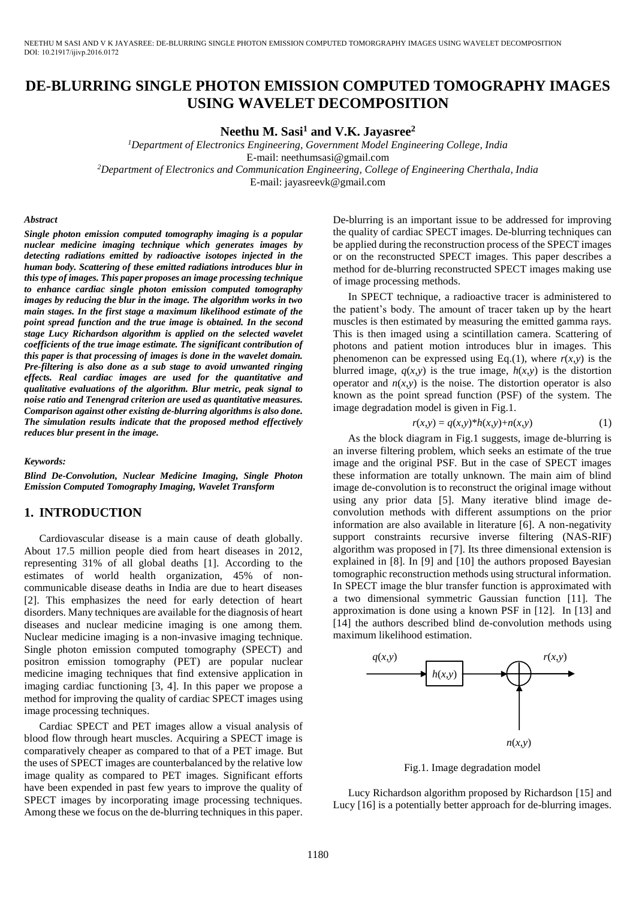# **DE-BLURRING SINGLE PHOTON EMISSION COMPUTED TOMOGRAPHY IMAGES USING WAVELET DECOMPOSITION**

**Neethu M. Sasi<sup>1</sup> and V.K. Jayasree<sup>2</sup>**

*<sup>1</sup>Department of Electronics Engineering, Government Model Engineering College, India*  E-mail: neethumsasi@gmail.com *<sup>2</sup>Department of Electronics and Communication Engineering, College of Engineering Cherthala, India*  E-mail: jayasreevk@gmail.com

#### *Abstract*

*Single photon emission computed tomography imaging is a popular nuclear medicine imaging technique which generates images by detecting radiations emitted by radioactive isotopes injected in the human body. Scattering of these emitted radiations introduces blur in this type of images. This paper proposes an image processing technique to enhance cardiac single photon emission computed tomography images by reducing the blur in the image. The algorithm works in two main stages. In the first stage a maximum likelihood estimate of the point spread function and the true image is obtained. In the second stage Lucy Richardson algorithm is applied on the selected wavelet coefficients of the true image estimate. The significant contribution of this paper is that processing of images is done in the wavelet domain. Pre-filtering is also done as a sub stage to avoid unwanted ringing effects. Real cardiac images are used for the quantitative and qualitative evaluations of the algorithm. Blur metric, peak signal to noise ratio and Tenengrad criterion are used as quantitative measures. Comparison against other existing de-blurring algorithms is also done. The simulation results indicate that the proposed method effectively reduces blur present in the image.* 

#### *Keywords:*

*Blind De-Convolution, Nuclear Medicine Imaging, Single Photon Emission Computed Tomography Imaging, Wavelet Transform* 

#### **1. INTRODUCTION**

Cardiovascular disease is a main cause of death globally. About 17.5 million people died from heart diseases in 2012, representing 31% of all global deaths [1]. According to the estimates of world health organization, 45% of noncommunicable disease deaths in India are due to heart diseases [2]. This emphasizes the need for early detection of heart disorders. Many techniques are available for the diagnosis of heart diseases and nuclear medicine imaging is one among them. Nuclear medicine imaging is a non-invasive imaging technique. Single photon emission computed tomography (SPECT) and positron emission tomography (PET) are popular nuclear medicine imaging techniques that find extensive application in imaging cardiac functioning [3, 4]. In this paper we propose a method for improving the quality of cardiac SPECT images using image processing techniques.

Cardiac SPECT and PET images allow a visual analysis of blood flow through heart muscles. Acquiring a SPECT image is comparatively cheaper as compared to that of a PET image. But the uses of SPECT images are counterbalanced by the relative low image quality as compared to PET images. Significant efforts have been expended in past few years to improve the quality of SPECT images by incorporating image processing techniques. Among these we focus on the de-blurring techniques in this paper. De-blurring is an important issue to be addressed for improving the quality of cardiac SPECT images. De-blurring techniques can be applied during the reconstruction process of the SPECT images or on the reconstructed SPECT images. This paper describes a method for de-blurring reconstructed SPECT images making use of image processing methods.

In SPECT technique, a radioactive tracer is administered to the patient's body. The amount of tracer taken up by the heart muscles is then estimated by measuring the emitted gamma rays. This is then imaged using a scintillation camera. Scattering of photons and patient motion introduces blur in images. This phenomenon can be expressed using Eq.(1), where  $r(x, y)$  is the blurred image,  $q(x, y)$  is the true image,  $h(x, y)$  is the distortion operator and  $n(x, y)$  is the noise. The distortion operator is also known as the point spread function (PSF) of the system. The image degradation model is given in Fig.1.

$$
r(x, y) = q(x, y)^{*}h(x, y) + n(x, y)
$$
 (1)

As the block diagram in Fig.1 suggests, image de-blurring is an inverse filtering problem, which seeks an estimate of the true image and the original PSF. But in the case of SPECT images these information are totally unknown. The main aim of blind image de-convolution is to reconstruct the original image without using any prior data [5]. Many iterative blind image deconvolution methods with different assumptions on the prior information are also available in literature [6]. A non-negativity support constraints recursive inverse filtering (NAS-RIF) algorithm was proposed in [7]. Its three dimensional extension is explained in [8]. In [9] and [10] the authors proposed Bayesian tomographic reconstruction methods using structural information. In SPECT image the blur transfer function is approximated with a two dimensional symmetric Gaussian function [11]. The approximation is done using a known PSF in [12]. In [13] and [14] the authors described blind de-convolution methods using maximum likelihood estimation.



Fig.1. Image degradation model

Lucy Richardson algorithm proposed by Richardson [15] and Lucy [16] is a potentially better approach for de-blurring images.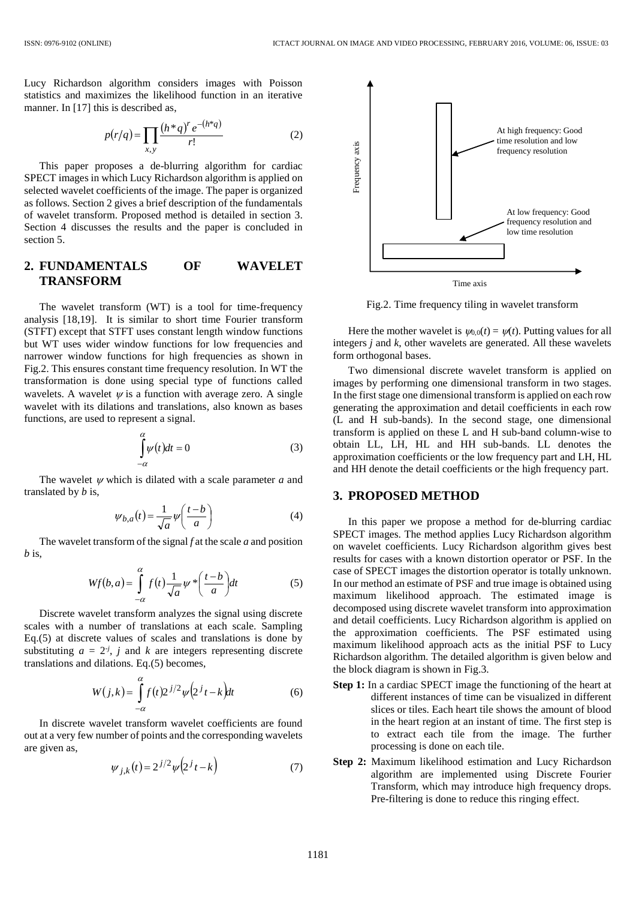Lucy Richardson algorithm considers images with Poisson statistics and maximizes the likelihood function in an iterative manner. In [17] this is described as,

$$
p(r/q) = \prod_{x,y} \frac{(h^*q)^r e^{-(h^*q)}}{r!}
$$
 (2)

This paper proposes a de-blurring algorithm for cardiac SPECT images in which Lucy Richardson algorithm is applied on selected wavelet coefficients of the image. The paper is organized as follows. Section 2 gives a brief description of the fundamentals of wavelet transform. Proposed method is detailed in section 3. Section 4 discusses the results and the paper is concluded in section 5.

# **2. FUNDAMENTALS OF WAVELET TRANSFORM**

The wavelet transform (WT) is a tool for time-frequency analysis [18,19]. It is similar to short time Fourier transform (STFT) except that STFT uses constant length window functions but WT uses wider window functions for low frequencies and narrower window functions for high frequencies as shown in Fig.2. This ensures constant time frequency resolution. In WT the transformation is done using special type of functions called wavelets. A wavelet  $\psi$  is a function with average zero. A single wavelet with its dilations and translations, also known as bases functions, are used to represent a signal.

$$
\int_{-\alpha}^{\alpha} \psi(t)dt = 0
$$
\n(3)

The wavelet  $\psi$  which is dilated with a scale parameter  $\alpha$  and translated by *b* is,

$$
\psi_{b,a}(t) = \frac{1}{\sqrt{a}} \psi\left(\frac{t-b}{a}\right) \tag{4}
$$

The wavelet transform of the signal *f* at the scale *a* and position *b* is,

$$
Wf(b,a) = \int_{-\alpha}^{\alpha} f(t) \frac{1}{\sqrt{a}} \psi^* \left(\frac{t-b}{a}\right) dt
$$
 (5)

Discrete wavelet transform analyzes the signal using discrete scales with a number of translations at each scale. Sampling Eq.(5) at discrete values of scales and translations is done by substituting  $a = 2<sup>j</sup>$ , *j* and *k* are integers representing discrete translations and dilations. Eq.(5) becomes,

$$
W(j,k) = \int_{-\alpha}^{\alpha} f(t) 2^{j/2} \psi\left(2^{j} t - k\right) dt
$$
 (6)

In discrete wavelet transform wavelet coefficients are found out at a very few number of points and the corresponding wavelets are given as,

$$
\psi_{j,k}(t) = 2^{j/2} \psi\left(2^j t - k\right) \tag{7}
$$



Fig.2. Time frequency tiling in wavelet transform

Here the mother wavelet is  $\psi_{0,0}(t) = \psi(t)$ . Putting values for all integers *j* and *k*, other wavelets are generated. All these wavelets form orthogonal bases.

Two dimensional discrete wavelet transform is applied on images by performing one dimensional transform in two stages. In the first stage one dimensional transform is applied on each row generating the approximation and detail coefficients in each row (L and H sub-bands). In the second stage, one dimensional transform is applied on these L and H sub-band column-wise to obtain LL, LH, HL and HH sub-bands. LL denotes the approximation coefficients or the low frequency part and LH, HL and HH denote the detail coefficients or the high frequency part.

### **3. PROPOSED METHOD**

In this paper we propose a method for de-blurring cardiac SPECT images. The method applies Lucy Richardson algorithm on wavelet coefficients. Lucy Richardson algorithm gives best results for cases with a known distortion operator or PSF. In the case of SPECT images the distortion operator is totally unknown. In our method an estimate of PSF and true image is obtained using maximum likelihood approach. The estimated image is decomposed using discrete wavelet transform into approximation and detail coefficients. Lucy Richardson algorithm is applied on the approximation coefficients. The PSF estimated using maximum likelihood approach acts as the initial PSF to Lucy Richardson algorithm. The detailed algorithm is given below and the block diagram is shown in Fig.3.

- **Step 1:** In a cardiac SPECT image the functioning of the heart at different instances of time can be visualized in different slices or tiles. Each heart tile shows the amount of blood in the heart region at an instant of time. The first step is to extract each tile from the image. The further processing is done on each tile.
- **Step 2:** Maximum likelihood estimation and Lucy Richardson algorithm are implemented using Discrete Fourier Transform, which may introduce high frequency drops. Pre-filtering is done to reduce this ringing effect.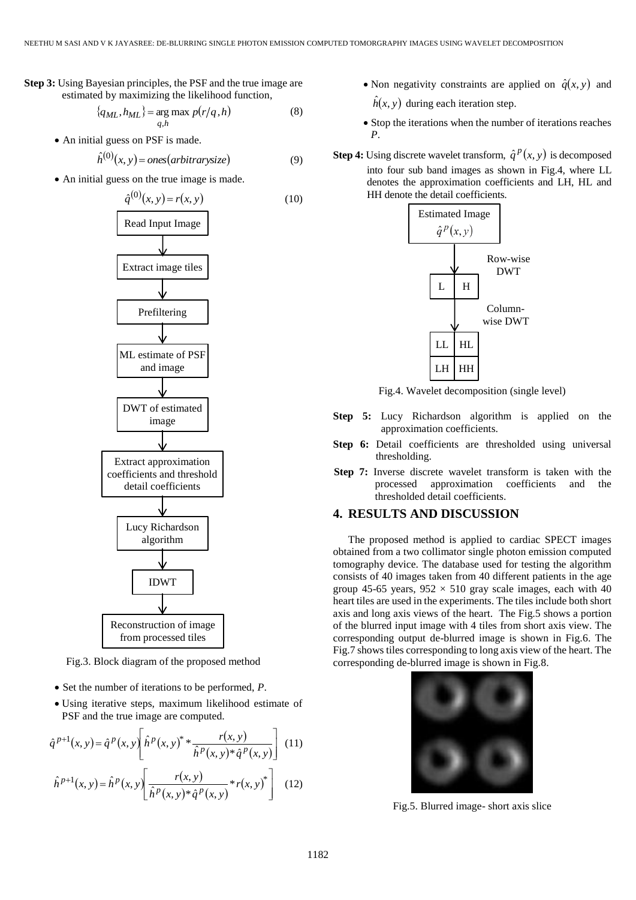**Step 3:** Using Bayesian principles, the PSF and the true image are estimated by maximizing the likelihood function,

$$
\{q_{ML}, h_{ML}\} = \underset{q,h}{\text{arg max}} p(r/q, h) \tag{8}
$$

• An initial guess on PSF is made.

$$
\hat{h}^{(0)}(x, y) = ones(arbitrary size)
$$
\n(9)

An initial guess on the true image is made.



Fig.3. Block diagram of the proposed method

- Set the number of iterations to be performed, *P*.
- Using iterative steps, maximum likelihood estimate of PSF and the true image are computed.

$$
\hat{q}^{p+1}(x, y) = \hat{q}^p(x, y) \left[ \hat{h}^p(x, y)^* * \frac{r(x, y)}{\hat{h}^p(x, y)^* \hat{q}^p(x, y)} \right] (11)
$$

$$
\hat{h}^{p+1}(x, y) = \hat{h}^p(x, y) \left[ \frac{r(x, y)}{\hat{h}^p(x, y)^* \hat{q}^p(x, y)} * r(x, y)^* \right] \tag{12}
$$

• Non negativity constraints are applied on  $\hat{q}(x, y)$  and

 $\hat{h}(x, y)$  during each iteration step.

- Stop the iterations when the number of iterations reaches *P*.
- **Step 4:** Using discrete wavelet transform,  $\hat{q}^p(x, y)$  is decomposed into four sub band images as shown in Fig.4, where LL denotes the approximation coefficients and LH, HL and HH denote the detail coefficients.



Fig.4. Wavelet decomposition (single level)

- **Step 5:** Lucy Richardson algorithm is applied on the approximation coefficients.
- **Step 6:** Detail coefficients are thresholded using universal thresholding.
- **Step 7:** Inverse discrete wavelet transform is taken with the processed approximation coefficients and the thresholded detail coefficients.

# **4. RESULTS AND DISCUSSION**

The proposed method is applied to cardiac SPECT images obtained from a two collimator single photon emission computed tomography device. The database used for testing the algorithm consists of 40 images taken from 40 different patients in the age group 45-65 years,  $952 \times 510$  gray scale images, each with 40 heart tiles are used in the experiments. The tiles include both short axis and long axis views of the heart. The Fig.5 shows a portion of the blurred input image with 4 tiles from short axis view. The corresponding output de-blurred image is shown in Fig.6. The Fig.7 shows tiles corresponding to long axis view of the heart. The corresponding de-blurred image is shown in Fig.8.



Fig.5. Blurred image- short axis slice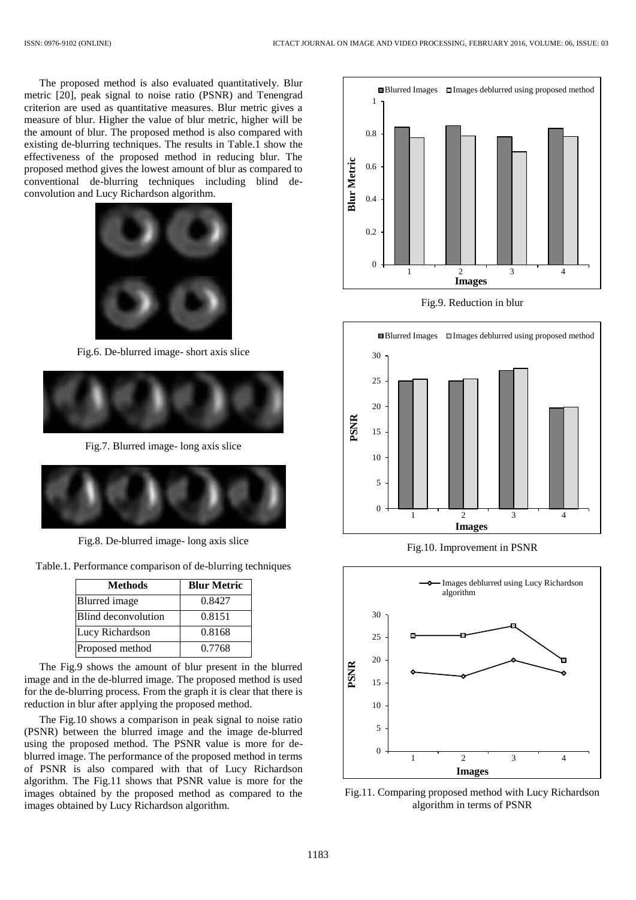The proposed method is also evaluated quantitatively. Blur metric [20], peak signal to noise ratio (PSNR) and Tenengrad criterion are used as quantitative measures. Blur metric gives a measure of blur. Higher the value of blur metric, higher will be the amount of blur. The proposed method is also compared with existing de-blurring techniques. The results in Table.1 show the effectiveness of the proposed method in reducing blur. The proposed method gives the lowest amount of blur as compared to conventional de-blurring techniques including blind deconvolution and Lucy Richardson algorithm.



Fig.6. De-blurred image- short axis slice



Fig.7. Blurred image- long axis slice



Fig.8. De-blurred image- long axis slice

| Table.1. Performance comparison of de-blurring techniques |  |  |
|-----------------------------------------------------------|--|--|
|                                                           |  |  |

| <b>Methods</b>             | <b>Blur Metric</b> |
|----------------------------|--------------------|
| <b>Blurred</b> image       | 0.8427             |
| <b>Blind deconvolution</b> | 0.8151             |
| Lucy Richardson            | 0.8168             |
| Proposed method            | 0.7768             |

The Fig.9 shows the amount of blur present in the blurred image and in the de-blurred image. The proposed method is used for the de-blurring process. From the graph it is clear that there is reduction in blur after applying the proposed method.

The Fig.10 shows a comparison in peak signal to noise ratio (PSNR) between the blurred image and the image de-blurred using the proposed method. The PSNR value is more for deblurred image. The performance of the proposed method in terms of PSNR is also compared with that of Lucy Richardson algorithm. The Fig.11 shows that PSNR value is more for the images obtained by the proposed method as compared to the images obtained by Lucy Richardson algorithm.







Fig.10. Improvement in PSNR



Fig.11. Comparing proposed method with Lucy Richardson algorithm in terms of PSNR